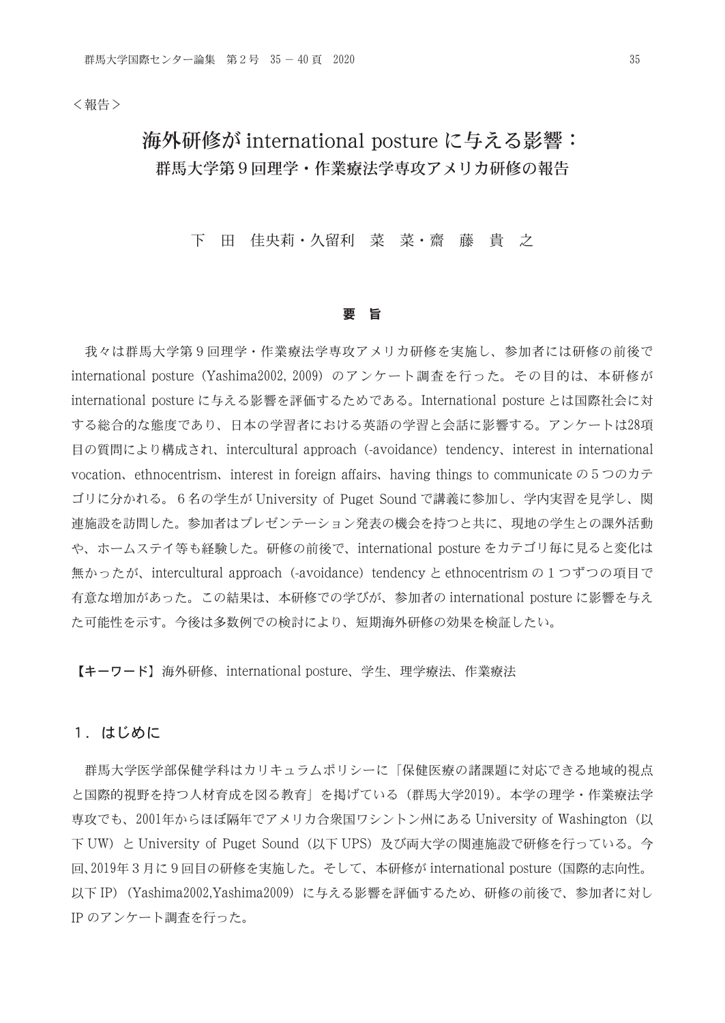<報告>

# 海外研修が international posture に与える影響: 群馬大学第9回理学・作業療法学専攻アメリカ研修の報告

### 下 田 佳央莉・久留利 菜 菜・齋 藤 貴 之

#### 要 旨

 我々は群馬大学第9回理学・作業療法学専攻アメリカ研修を実施し、参加者には研修の前後で international posture (Yashima2002, 2009)のアンケート調査を行った。その目的は、本研修が international posture に与える影響を評価するためである。International posture とは国際社会に対 する総合的な態度であり、日本の学習者における英語の学習と会話に影響する。アンケートは28項 目の質問により構成され、intercultural approach (-avoidance) tendency、interest in international vocation, ethnocentrism, interest in foreign affairs, having things to communicate  $\varnothing$  5つのカテ ゴリに分かれる。6名の学生が University of Puget Sound で講義に参加し、学内実習を見学し、関 連施設を訪問した。参加者はプレゼンテーション発表の機会を持つと共に、現地の学生との課外活動 や、ホームステイ等も経験した。研修の前後で、international posture をカテゴリ毎に見ると変化は 無かったが、intercultural approach (-avoidance) tendency と ethnocentrism の1つずつの項目で 有意な増加があった。この結果は、本研修での学びが、参加者の international posture に影響を与え た可能性を示す。今後は多数例での検討により、短期海外研修の効果を検証したい。

【キーワード】海外研修、international posture、学生、理学療法、作業療法

#### 1.はじめに

 群馬大学医学部保健学科はカリキュラムポリシーに「保健医療の諸課題に対応できる地域的視点 と国際的視野を持つ人材育成を図る教育」を掲げている(群馬大学2019)。本学の理学・作業療法学 専攻でも、2001年からほぼ隔年でアメリカ合衆国ワシントン州にある University of Washington(以 下 UW) と University of Puget Sound (以下 UPS) 及び両大学の関連施設で研修を行っている。今 回、2019年3月に9回目の研修を実施した。そして、本研修が international posture(国際的志向性。 以下 IP) (Yashima2002,Yashima2009)に与える影響を評価するため、研修の前後で、参加者に対し IP のアンケート調査を行った。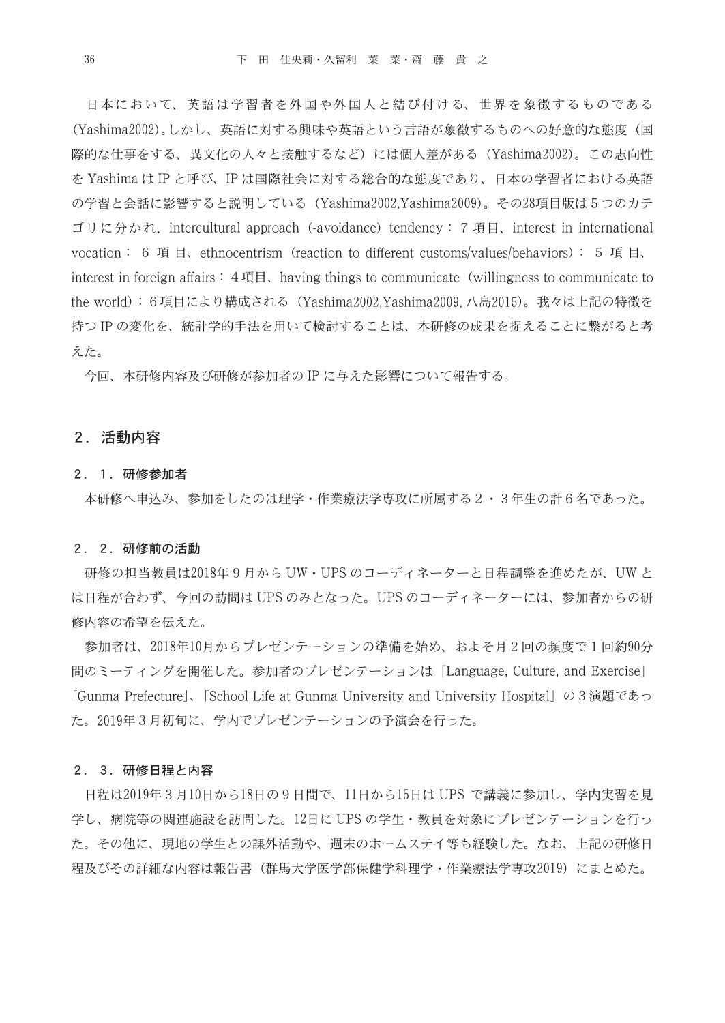日本において、英語は学習者を外国や外国人と結び付ける、世界を象徴するものである (Yashima2002)。しかし、英語に対する興味や英語という言語が象徴するものへの好意的な態度(国 際的な仕事をする、異文化の人々と接触するなど)には個人差がある (Yashima2002)。この志向性 を Yashima は IP と呼び、IP は国際社会に対する総合的な態度であり、日本の学習者における英語 の学習と会話に影響すると説明している(Yashima2002,Yashima2009)。その28項目版は5つのカテ ゴリに分かれ、intercultural approach(-avoidance)tendency:7項目、interest in international vocation: 6 項目, ethnocentrism (reaction to different customs/values/behaviors): 5 項目, interest in foreign affairs:  $4 \nsubseteq \mathbb{H}$ , having things to communicate (willingness to communicate to the world):6項目により構成される(Yashima2002,Yashima2009, 八島2015)。我々は上記の特徴を 持つ IP の変化を、統計学的手法を用いて検討することは、本研修の成果を捉えることに繋がると考 えた。

今回、本研修内容及び研修が参加者の IP に与えた影響について報告する。

#### 2.活動内容

#### 2.1.研修参加者

本研修へ申込み、参加をしたのは理学・作業療法学専攻に所属する2・3年生の計6名であった。

#### 2.2.研修前の活動

 研修の担当教員は2018年9月から UW・UPS のコーディネーターと日程調整を進めたが、UW と は日程が合わず、今回の訪問は UPS のみとなった。UPS のコーディネーターには、参加者からの研 修内容の希望を伝えた。

 参加者は、2018年10月からプレゼンテーションの準備を始め、およそ月2回の頻度で1回約90分 間のミーティングを開催した。参加者のプレゼンテーションは「Language, Culture, and Exercise」 「Gunma Prefecture」、「School Life at Gunma University and University Hospital」の3演題であっ た。2019年3月初旬に、学内でプレゼンテーションの予演会を行った。

#### 2.3.研修日程と内容

 日程は2019年3月10日から18日の9日間で、11日から15日は UPS で講義に参加し、学内実習を見 学し、病院等の関連施設を訪問した。12日に UPS の学生・教員を対象にプレゼンテーションを行っ た。その他に、現地の学生との課外活動や、週末のホームステイ等も経験した。なお、上記の研修日 程及びその詳細な内容は報告書(群馬大学医学部保健学科理学・作業療法学専攻2019)にまとめた。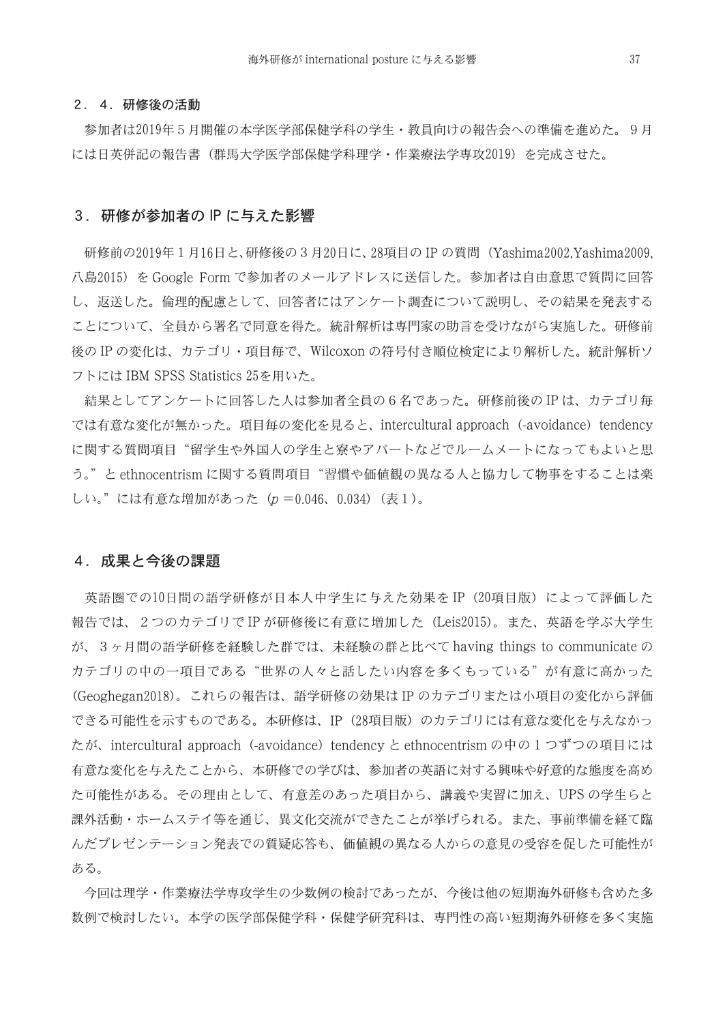#### 2.4.研修後の活動

 参加者は2019年5月開催の本学医学部保健学科の学生・教員向けの報告会への準備を進めた。9月 には日英併記の報告書(群馬大学医学部保健学科理学・作業療法学専攻2019)を完成させた。

#### 3.研修が参加者の IP に与えた影響

 研修前の2019年1月16日と、研修後の3月20日に、28項目の IP の質問(Yashima2002,Yashima2009, 八島2015)を Google Form で参加者のメールアドレスに送信した。参加者は自由意思で質問に回答 し、返送した。倫理的配慮として、回答者にはアンケート調査について説明し、その結果を発表する ことについて、全員から署名で同意を得た。統計解析は専門家の助言を受けながら実施した。研修前 後の IP の変化は、カテゴリ・項目毎で、Wilcoxon の符号付き順位検定により解析した。統計解析ソ フトには IBM SPSS Statistics 25を用いた。

 結果としてアンケートに回答した人は参加者全員の6名であった。研修前後の IP は、カテゴリ毎 では有意な変化が無かった。項目毎の変化を見ると、intercultural approach (-avoidance) tendency に関する質問項目"留学生や外国人の学生と寮やアパートなどでルームメートになってもよいと思 う。"と ethnocentrism に関する質問項目"習慣や価値観の異なる人と協力して物事をすることは楽 しい。"には有意な増加があった(p =0.046、0.034)(表1)。

#### 4.成果と今後の課題

英語圏での10日間の語学研修が日本人中学生に与えた効果を IP (20項目版)によって評価した 報告では、2つのカテゴリで IP が研修後に有意に増加した(Leis2015)。また、英語を学ぶ大学生 が、3ヶ月間の語学研修を経験した群では、未経験の群と比べて having things to communicate の カテゴリの中の一項目である"世界の人々と話したい内容を多くもっている"が有意に高かった (Geoghegan2018)。これらの報告は、語学研修の効果は IP のカテゴリまたは小項目の変化から評価 できる可能性を示すものである。本研修は、IP(28項目版)のカテゴリには有意な変化を与えなかっ たが、intercultural approach (-avoidance) tendency と ethnocentrism の中の1つずつの項目には 有意な変化を与えたことから、本研修での学びは、参加者の英語に対する興味や好意的な態度を高め た可能性がある。その理由として、有意差のあった項目から、講義や実習に加え、UPS の学生らと 課外活動・ホームステイ等を通じ、異文化交流ができたことが挙げられる。また、事前準備を経て臨 んだプレゼンテーション発表での質疑応答も、価値観の異なる人からの意見の受容を促した可能性が ある。

 今回は理学・作業療法学専攻学生の少数例の検討であったが、今後は他の短期海外研修も含めた多 数例で検討したい。本学の医学部保健学科・保健学研究科は、専門性の高い短期海外研修を多く実施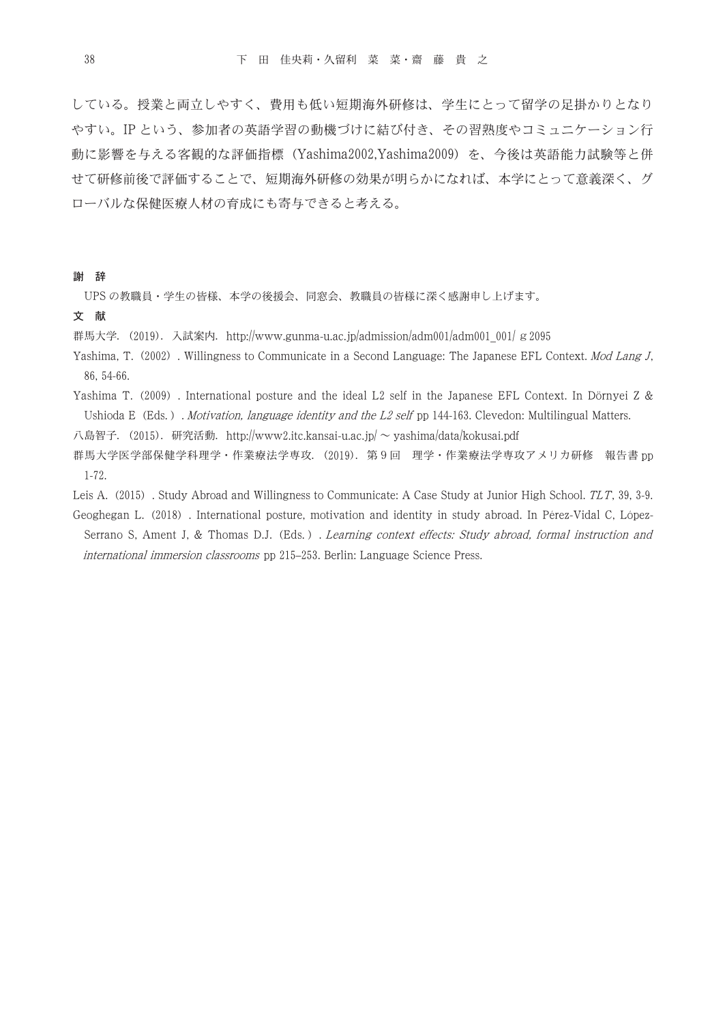している。授業と両立しやすく、費用も低い短期海外研修は、学生にとって留学の足掛かりとなり やすい。IP という、参加者の英語学習の動機づけに結び付き、その習熟度やコミュニケーション行 動に影響を与える客観的な評価指標(Yashima2002,Yashima2009)を、今後は英語能力試験等と併 せて研修前後で評価することで、短期海外研修の効果が明らかになれば、本学にとって意義深く、グ ローバルな保健医療人材の育成にも寄与できると考える。

謝 辞

UPS の教職員・学生の皆様、本学の後援会、同窓会、教職員の皆様に深く感謝申し上げます。

文 献

群馬大学. (2019). 入試案内. http://www.gunma-u.ac.jp/admission/adm001/adm001\_001/ g2095

- Yashima, T. (2002). Willingness to Communicate in a Second Language: The Japanese EFL Context. Mod Lang J, 86, 54-66.
- Yashima T. (2009). International posture and the ideal L2 self in the Japanese EFL Context. In Dörnyei Z & Ushioda E (Eds.). Motivation, language identity and the L2 self pp 144-163. Clevedon: Multilingual Matters.

八島智子. (2015). 研究活動. http://www2.itc.kansai-u.ac.jp/ ~ yashima/data/kokusai.pdf

群馬大学医学部保健学科理学・作業療法学専攻.(2019).第9回 理学・作業療法学専攻アメリカ研修 報告書 pp 1-72.

Leis A. (2015). Study Abroad and Willingness to Communicate: A Case Study at Junior High School. TLT, 39, 3-9.

Geoghegan L.(2018). International posture, motivation and identity in study abroad. In Pérez-Vidal C, López-Serrano S, Ament J, & Thomas D.J. (Eds.). Learning context effects: Study abroad, formal instruction and international immersion classrooms pp 215–253. Berlin: Language Science Press.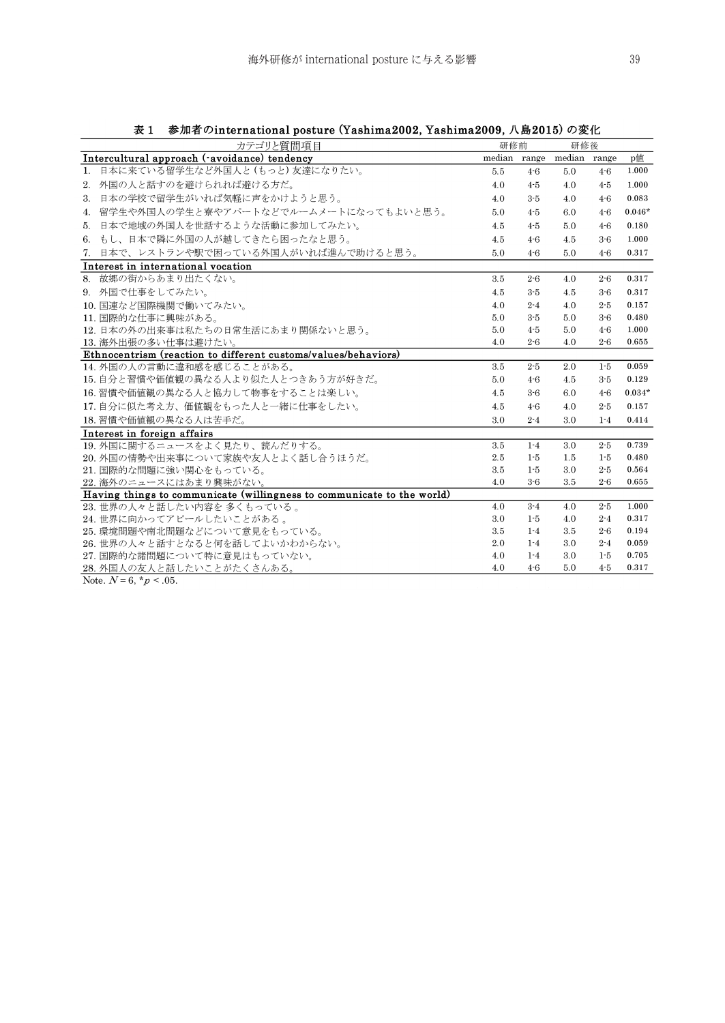| 22 L<br>$\mathscr{D}$ лнн $\mathfrak{m}$ - отнистительных розвите (тавшищадосл, тавшищадосл, тердото) >> $\mathscr{L}$   п<br>カテゴリと質問項目 | 研修前 |         | 研修後                       |         |          |
|-----------------------------------------------------------------------------------------------------------------------------------------|-----|---------|---------------------------|---------|----------|
| Intercultural approach (-avoidance) tendency                                                                                            |     |         | median range median range |         | p值       |
| 日本に来ている留学生など外国人と (もっと)友達になりたい。<br>$\mathbf{1}$ .                                                                                        | 5.5 | $4 - 6$ | 5.0                       | $4 - 6$ | 1.000    |
| 2. 外国の人と話すのを避けられれば避ける方だ。                                                                                                                | 4.0 | $4 - 5$ | 4.0                       | $4 - 5$ | 1.000    |
| 日本の学校で留学生がいれば気軽に声をかけようと思う。<br>3.                                                                                                        | 4.0 | $3 - 5$ | 4.0                       | $4 - 6$ | 0.083    |
| 4. 留学生や外国人の学生と寮やアパートなどでルームメートになってもよいと思う。                                                                                                | 5.0 | $4-5$   | 6.0                       | $4 - 6$ | $0.046*$ |
| 日本で地域の外国人を世話するような活動に参加してみたい。<br>5.                                                                                                      | 4.5 | $4 - 5$ | 5.0                       | $4 - 6$ | 0.180    |
| 6. もし、日本で隣に外国の人が越してきたら困ったなと思う。                                                                                                          | 4.5 | $4 - 6$ | 4.5                       | $3-6$   | 1.000    |
| 7. 日本で、レストランや駅で困っている外国人がいれば進んで助けると思う。                                                                                                   | 5.0 | $4-6$   | 5.0                       | $4-6$   | 0.317    |
| Interest in international vocation                                                                                                      |     |         |                           |         |          |
| 8. 故郷の街からあまり出たくない。                                                                                                                      | 3.5 | $2 - 6$ | 4.0                       | $2 - 6$ | 0.317    |
| 9. 外国で仕事をしてみたい。                                                                                                                         | 4.5 | $3 - 5$ | 4.5                       | $3-6$   | 0.317    |
| 10. 国連など国際機関で働いてみたい。                                                                                                                    | 4.0 | $2 - 4$ | 4.0                       | $2 - 5$ | 0.157    |
| 11. 国際的な仕事に興味がある。                                                                                                                       | 5.0 | $3 - 5$ | 5.0                       | $3-6$   | 0.480    |
| 12. 日本の外の出来事は私たちの日常生活にあまり関係ないと思う。                                                                                                       | 5.0 | $4 - 5$ | 5.0                       | $4-6$   | 1.000    |
| 13. 海外出張の多い仕事は避けたい。                                                                                                                     | 4.0 | $2 - 6$ | 4.0                       | $2 - 6$ | 0.655    |
| Ethnocentrism (reaction to different customs/values/behaviors)                                                                          |     |         |                           |         |          |
| 14. 外国の人の言動に違和感を感じることがある。                                                                                                               | 3.5 | $2 - 5$ | 2.0                       | $1-5$   | 0.059    |
| 15. 自分と習慣や価値観の異なる人より似た人とつきあう方が好きだ。                                                                                                      | 5.0 | $4-6$   | 4.5                       | $3 - 5$ | 0.129    |
| 16. 習慣や価値観の異なる人と協力して物事をすることは楽しい。                                                                                                        | 4.5 | $3-6$   | 6.0                       | $4-6$   | $0.034*$ |
| 17. 自分に似た考え方、価値観をもった人と一緒に仕事をしたい。                                                                                                        | 4.5 | $4 - 6$ | 4.0                       | $2 - 5$ | 0.157    |
| 18. 習慣や価値観の異なる人は苦手だ。                                                                                                                    | 3.0 | $2 - 4$ | 3.0                       | $1 - 4$ | 0.414    |
| Interest in foreign affairs                                                                                                             |     |         |                           |         |          |
| 19. 外国に関するニュースをよく見たり、読んだりする。                                                                                                            | 3.5 | $1 - 4$ | 3.0                       | $2 - 5$ | 0.739    |
| 20. 外国の情勢や出来事について家族や友人とよく話し合うほうだ。                                                                                                       | 2.5 | $1 - 5$ | 1.5                       | $1-5$   | 0.480    |
| 21. 国際的な問題に強い関心をもっている。                                                                                                                  | 3.5 | $1 - 5$ | 3.0                       | $2 - 5$ | 0.564    |
| 22. 海外のニュースにはあまり興味がない。                                                                                                                  | 4.0 | $3-6$   | 3.5                       | $2 - 6$ | 0.655    |
| Having things to communicate (willingness to communicate to the world)                                                                  |     |         |                           |         |          |
| 23. 世界の人々と話したい内容を多くもっている。                                                                                                               | 4.0 | $3 - 4$ | 4.0                       | $2 - 5$ | 1.000    |
| 24. 世界に向かってアピールしたいことがある。                                                                                                                | 3.0 | $1 - 5$ | 4.0                       | $2 - 4$ | 0.317    |
| 25. 環境問題や南北問題などについて意見をもっている。                                                                                                            | 3.5 | $1 - 4$ | 3.5                       | $2 - 6$ | 0.194    |
| 26.世界の人々と話すとなると何を話してよいかわからない。                                                                                                           | 2.0 | $1 - 4$ | 3.0                       | $2 - 4$ | 0.059    |
| 27. 国際的な諸問題について特に意見はもっていない。                                                                                                             | 4.0 | $1 - 4$ | 3.0                       | $1-5$   | 0.705    |
| 28.外国人の友人と話したいことがたくさんある。                                                                                                                | 4.0 | $4-6$   | 5.0                       | $4-5$   | 0.317    |

表 1 参加者のinternational posture (Yashima2002, Yashima2009, 八島2015)の変化

Note.  $N$  = 6,  $^{\star}p$  < .05.